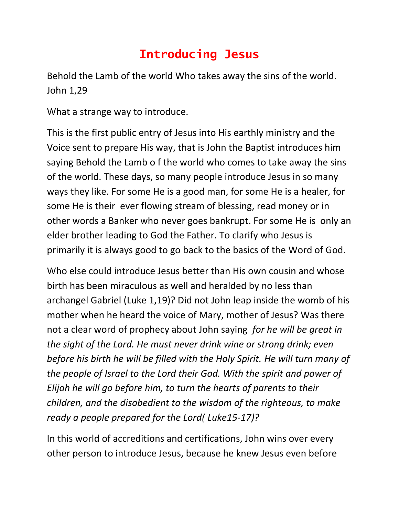## **Introducing Jesus**

Behold the Lamb of the world Who takes away the sins of the world. John 1,29

What a strange way to introduce.

This is the first public entry of Jesus into His earthly ministry and the Voice sent to prepare His way, that is John the Baptist introduces him saying Behold the Lamb o f the world who comes to take away the sins of the world. These days, so many people introduce Jesus in so many ways they like. For some He is a good man, for some He is a healer, for some He is their ever flowing stream of blessing, read money or in other words a Banker who never goes bankrupt. For some He is only an elder brother leading to God the Father. To clarify who Jesus is primarily it is always good to go back to the basics of the Word of God.

Who else could introduce Jesus better than His own cousin and whose birth has been miraculous as well and heralded by no less than archangel Gabriel (Luke 1,19)? Did not John leap inside the womb of his mother when he heard the voice of Mary, mother of Jesus? Was there not a clear word of prophecy about John saying *for he will be great in the sight of the Lord. He must never drink wine or strong drink; even before his birth he will be filled with the Holy Spirit. He will turn many of the people of Israel to the Lord their God. With the spirit and power of Elijah he will go before him, to turn the hearts of parents to their children, and the disobedient to the wisdom of the righteous, to make ready a people prepared for the Lord( Luke15-17)?*

In this world of accreditions and certifications, John wins over every other person to introduce Jesus, because he knew Jesus even before